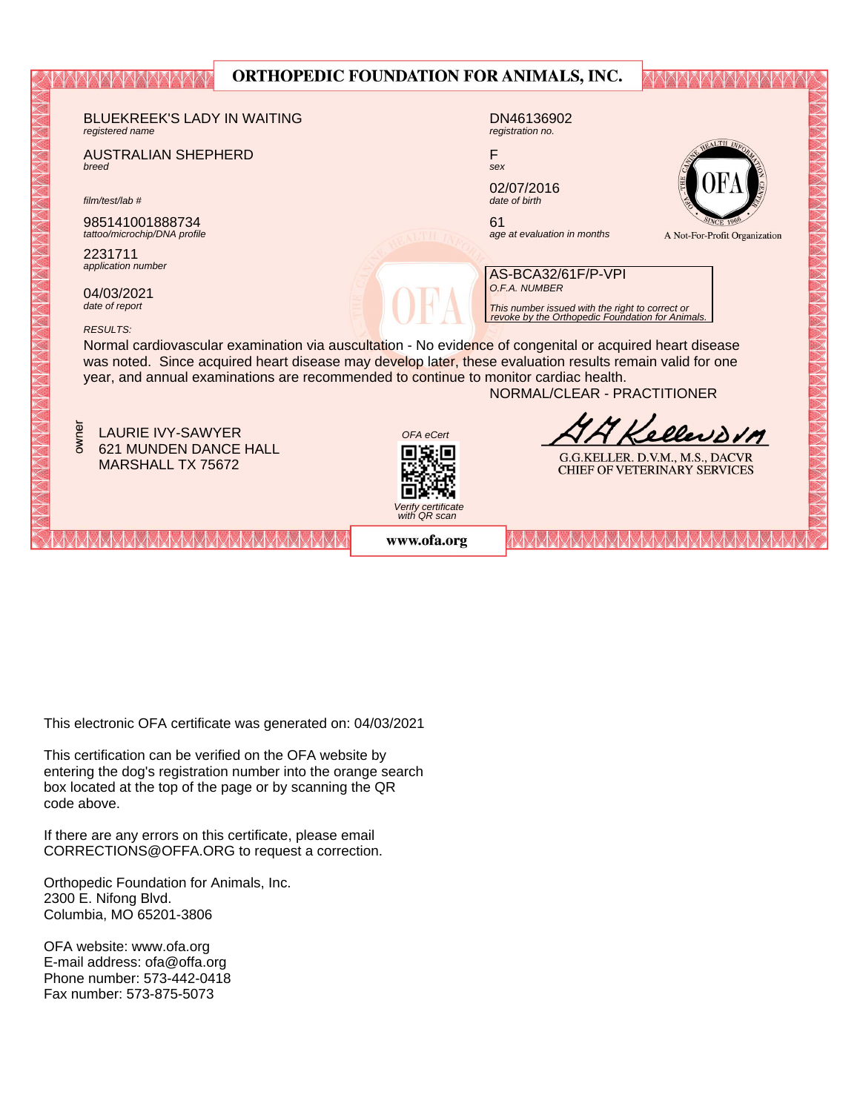|                                                                                                                                                                                                  | ORTHOPEDIC FOUNDATION FOR ANIMALS, INC. |                                                                                                                      |                                                                        |  |  |  |  |  |
|--------------------------------------------------------------------------------------------------------------------------------------------------------------------------------------------------|-----------------------------------------|----------------------------------------------------------------------------------------------------------------------|------------------------------------------------------------------------|--|--|--|--|--|
| <b>BLUEKREEK'S LADY IN WAITING</b><br>registered name                                                                                                                                            |                                         | DN46136902<br>registration no.                                                                                       |                                                                        |  |  |  |  |  |
| <b>AUSTRALIAN SHEPHERD</b><br>breed                                                                                                                                                              | F<br>sex                                |                                                                                                                      | ALTH 1                                                                 |  |  |  |  |  |
| film/test/lab #                                                                                                                                                                                  |                                         | 02/07/2016<br>date of birth                                                                                          |                                                                        |  |  |  |  |  |
| 985141001888734<br>tattoo/microchip/DNA profile                                                                                                                                                  | 61                                      | age at evaluation in months                                                                                          | A Not-For-Profit Organization                                          |  |  |  |  |  |
| 2231711<br>application number                                                                                                                                                                    |                                         | AS-BCA32/61F/P-VPI                                                                                                   |                                                                        |  |  |  |  |  |
| 04/03/2021<br>date of report                                                                                                                                                                     |                                         | O.F.A. NUMBER<br>This number issued with the right to correct or<br>revoke by the Orthopedic Foundation for Animals. |                                                                        |  |  |  |  |  |
| <b>RESULTS:</b><br>Normal cardiovascular examination via auscultation - No evidence of congenital or acquired heart disease                                                                      |                                         |                                                                                                                      |                                                                        |  |  |  |  |  |
| was noted. Since acquired heart disease may develop later, these evaluation results remain valid for one<br>year, and annual examinations are recommended to continue to monitor cardiac health. |                                         |                                                                                                                      |                                                                        |  |  |  |  |  |
|                                                                                                                                                                                                  |                                         | NORMAL/CLEAR - PRACTITIONER                                                                                          |                                                                        |  |  |  |  |  |
| owner<br><b>LAURIE IVY-SAWYER</b>                                                                                                                                                                | OFA eCert                               |                                                                                                                      | Kellerson                                                              |  |  |  |  |  |
| 621 MUNDEN DANCE HALL<br><b>MARSHALL TX 75672</b>                                                                                                                                                |                                         |                                                                                                                      | G.G.KELLER. D.V.M., M.S., DACVR<br><b>CHIEF OF VETERINARY SERVICES</b> |  |  |  |  |  |
|                                                                                                                                                                                                  | Verify certificate<br>with QR scan      |                                                                                                                      |                                                                        |  |  |  |  |  |
|                                                                                                                                                                                                  | www.ofa.org                             |                                                                                                                      |                                                                        |  |  |  |  |  |

This electronic OFA certificate was generated on: 04/03/2021

This certification can be verified on the OFA website by box located at the top of the page or by scanning the QR code above. entering the dog's registration number into the orange search

If there are any errors on this certificate, please email  $CORRECTIONS@OFFA.ORG$  to request a correction.

Phone number: 573-442-0418 Orthopedic Foundation for Animals, Inc. 2300 E. Nifong Blvd. Columbia, MO 65201-3806

OFA website: www.ofa.org E-mail address: ofa@offa.org Phone number: 573-442-0418 Fax number: 573-875-5073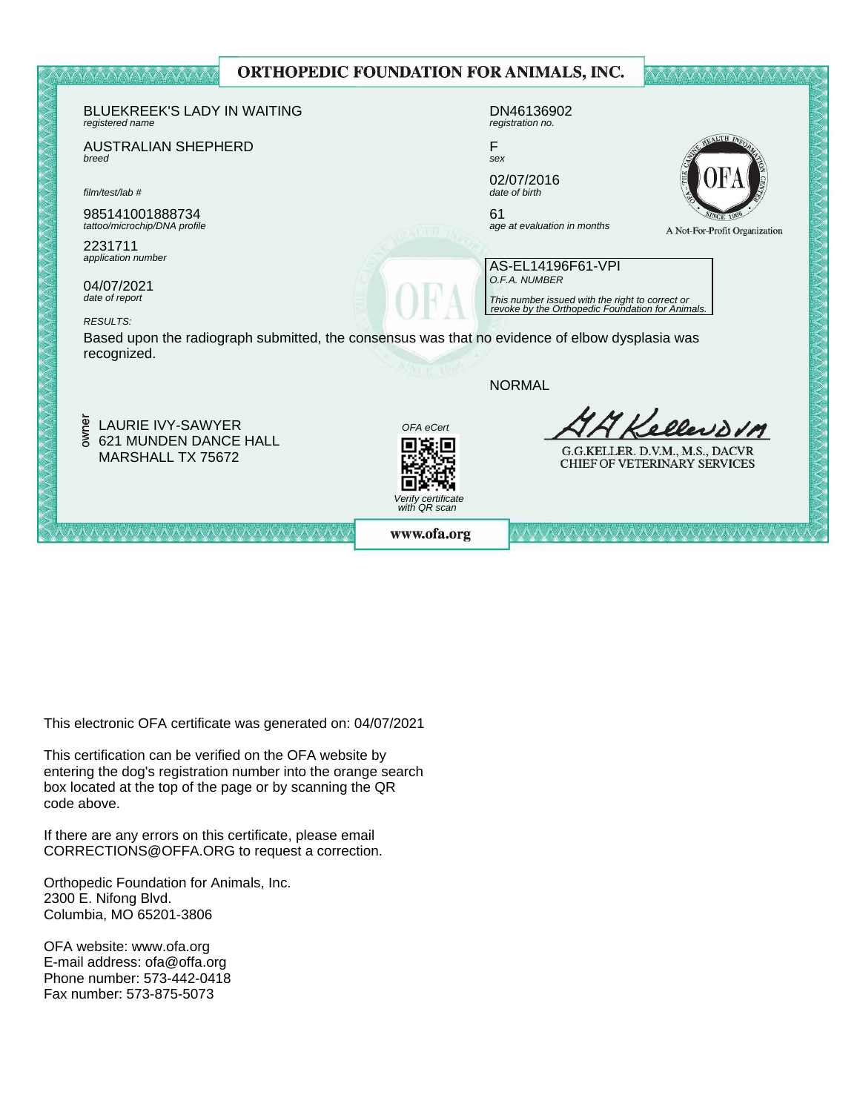

This electronic OFA certificate was generated on: 04/07/2021

This certification can be verified on the OFA website by box located at the top of the page or by scanning the QR code above. entering the dog's registration number into the orange search

If there are any errors on this certificate, please email  $CORRECTIONS@OFFA.ORG$  to request a correction.

Phone number: 573-442-0418 Orthopedic Foundation for Animals, Inc. 2300 E. Nifong Blvd. Columbia, MO 65201-3806

OFA website: www.ofa.org E-mail address: ofa@offa.org Phone number: 573-442-0418 Fax number: 573-875-5073